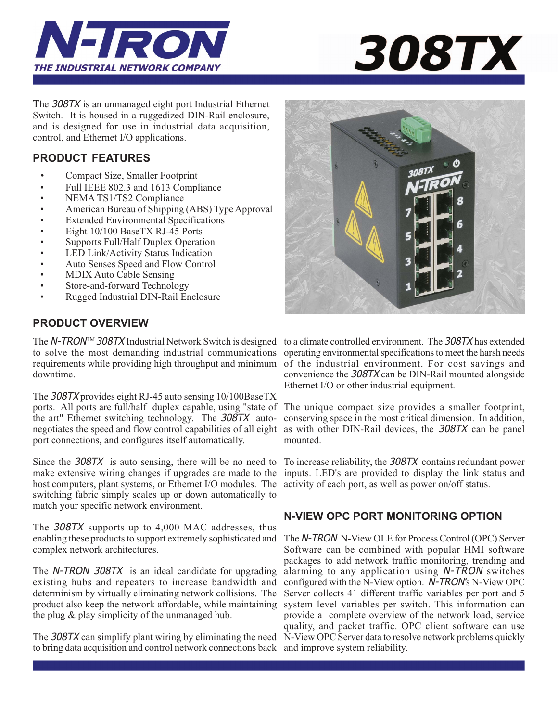



The 308TX is an unmanaged eight port Industrial Ethernet Switch. It is housed in a ruggedized DIN-Rail enclosure, and is designed for use in industrial data acquisition, control, and Ethernet I/O applications.

# **PRODUCT FEATURES**

- Compact Size, Smaller Footprint
- Full IEEE 802.3 and 1613 Compliance
- NEMA TS1/TS2 Compliance
- American Bureau of Shipping (ABS) Type Approval
- Extended Environmental Specifications
- Eight 10/100 BaseTX RJ-45 Ports
- Supports Full/Half Duplex Operation
- LED Link/Activity Status Indication
- Auto Senses Speed and Flow Control
- MDIX Auto Cable Sensing
- Store-and-forward Technology
- Rugged Industrial DIN-Rail Enclosure

# **PRODUCT OVERVIEW**

The N-TRON<sup>™</sup> 308TX Industrial Network Switch is designed to a climate controlled environment. The 308TX has extended to solve the most demanding industrial communications requirements while providing high throughput and minimum downtime.

The 308TX provides eight RJ-45 auto sensing 10/100BaseTX ports. All ports are full/half duplex capable, using "state of the art" Ethernet switching technology. The 308TX autonegotiates the speed and flow control capabilities of all eight port connections, and configures itself automatically.

Since the 308TX is auto sensing, there will be no need to To increase reliability, the 308TX contains redundant power make extensive wiring changes if upgrades are made to the inputs. LED's are provided to display the link status and host computers, plant systems, or Ethernet I/O modules. The activity of each port, as well as power on/off status. switching fabric simply scales up or down automatically to match your specific network environment.

The 308TX supports up to 4,000 MAC addresses, thus enabling these products to support extremely sophisticated and complex network architectures.

The N-TRON 308TX is an ideal candidate for upgrading existing hubs and repeaters to increase bandwidth and determinism by virtually eliminating network collisions. The product also keep the network affordable, while maintaining the plug & play simplicity of the unmanaged hub.

The 308TX can simplify plant wiring by eliminating the need N-View OPC Server data to resolve network problems quickly to bring data acquisition and control network connections back and improve system reliability.



operating environmental specifications to meet the harsh needs of the industrial environment. For cost savings and convenience the 308TX can be DIN-Rail mounted alongside Ethernet I/O or other industrial equipment.

The unique compact size provides a smaller footprint, conserving space in the most critical dimension. In addition, as with other DIN-Rail devices, the 308TX can be panel mounted.

# **N-VIEW OPC PORT MONITORING OPTION**

The N-TRON N-View OLE for Process Control (OPC) Server Software can be combined with popular HMI software packages to add network traffic monitoring, trending and alarming to any application using N-TRON switches configured with the N-View option. N-TRON*'*s N-View OPC Server collects 41 different traffic variables per port and 5 system level variables per switch. This information can provide a complete overview of the network load, service quality, and packet traffic. OPC client software can use